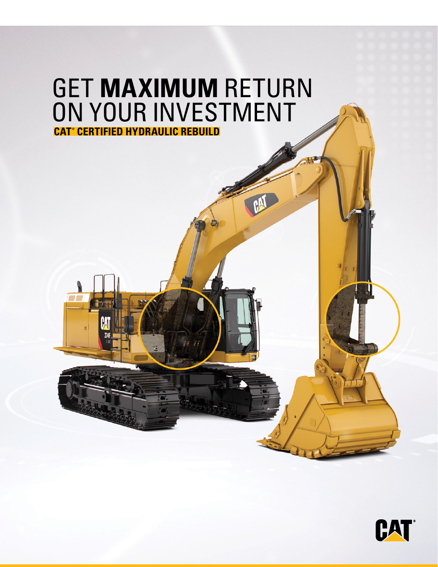

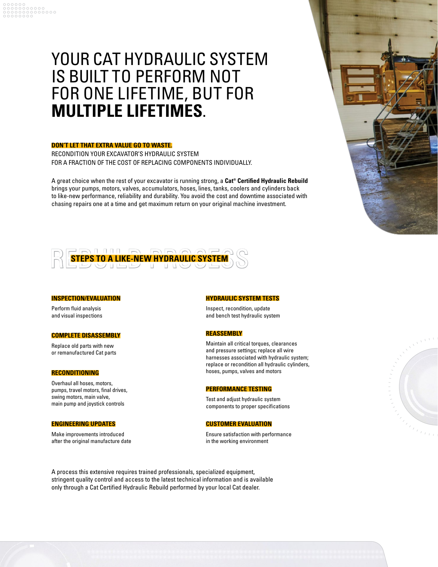# YOUR CAT HYDRAULIC SYSTEM IS BUILT TO PERFORM NOT FOR ONE LIFETIME, BUT FOR **MULTIPLE LIFETIMES**.

## **DON'T LET THAT EXTRA VALUE GO TO WASTE.**

RECONDITION YOUR EXCAVATOR'S HYDRAULIC SYSTEM FOR A FRACTION OF THE COST OF REPLACING COMPONENTS INDIVIDUALLY.

A great choice when the rest of your excavator is running strong, a **Cat® Certified Hydraulic Rebuild**  brings your pumps, motors, valves, accumulators, hoses, lines, tanks, coolers and cylinders back to like-new performance, reliability and durability. You avoid the cost and downtime associated with chasing repairs one at a time and get maximum return on your original machine investment.



## **INSPECTION/EVALUATION**

Perform fluid analysis and visual inspections

## **COMPLETE DISASSEMBLY**

Replace old parts with new or remanufactured Cat parts

#### **RECONDITIONING**

Overhaul all hoses, motors, pumps, travel motors, final drives, swing motors, main valve, main pump and joystick controls

#### **ENGINEERING UPDATES**

Make improvements introduced after the original manufacture date

### **HYDRAULIC SYSTEM TESTS**

Inspect, recondition, update and bench test hydraulic system

### **REASSEMBLY**

Maintain all critical torques, clearances and pressure settings; replace all wire harnesses associated with hydraulic system; replace or recondition all hydraulic cylinders, hoses, pumps, valves and motors

#### **PERFORMANCE TESTING**

Test and adjust hydraulic system components to proper specifications

#### **CUSTOMER EVALUATION**

Ensure satisfaction with performance in the working environment





A process this extensive requires trained professionals, specialized equipment, stringent quality control and access to the latest technical information and is available only through a Cat Certified Hydraulic Rebuild performed by your local Cat dealer.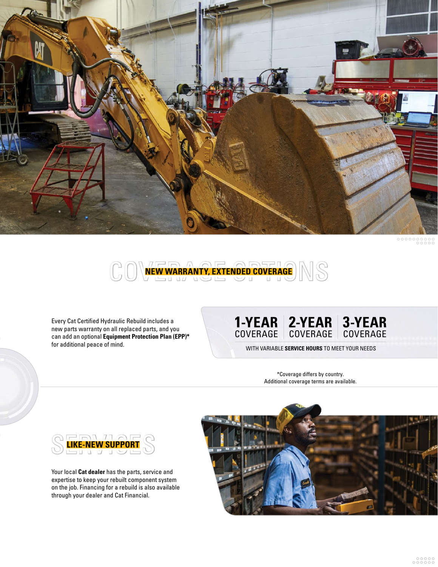



Every Cat Certified Hydraulic Rebuild includes a new parts warranty on all replaced parts, and you can add an optional **Equipment Protection Plan (EPP)\*** for additional peace of mind. WITH VARIABLE **SERVICE HOURS** TO MEET YOUR NEEDS

#### **1-YEAR** COVERAGE **2-YEAR** COVERAGE **3-YEAR** COVERAGE

\*Coverage differs by country. Additional coverage terms are available.



Your local **Cat dealer** has the parts, service and expertise to keep your rebuilt component system on the job. Financing for a rebuild is also available through your dealer and Cat Financial.